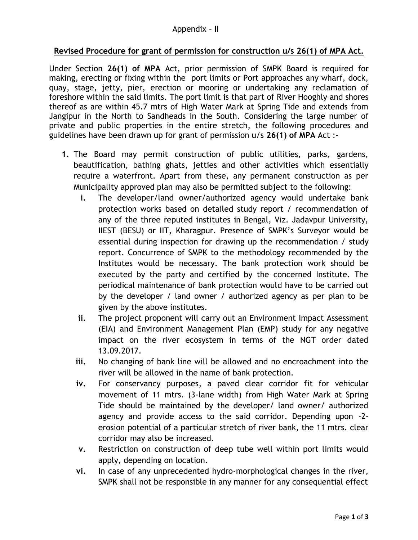## **Revised Procedure for grant of permission for construction u/s 26(1) of MPA Act.**

Under Section **26(1) of MPA** Act, prior permission of SMPK Board is required for making, erecting or fixing within the port limits or Port approaches any wharf, dock, quay, stage, jetty, pier, erection or mooring or undertaking any reclamation of foreshore within the said limits. The port limit is that part of River Hooghly and shores thereof as are within 45.7 mtrs of High Water Mark at Spring Tide and extends from Jangipur in the North to Sandheads in the South. Considering the large number of private and public properties in the entire stretch, the following procedures and guidelines have been drawn up for grant of permission u/s **26(1) of MPA** Act :-

- **1.** The Board may permit construction of public utilities, parks, gardens, beautification, bathing ghats, jetties and other activities which essentially require a waterfront. Apart from these, any permanent construction as per Municipality approved plan may also be permitted subject to the following:
	- **i.** The developer/land owner/authorized agency would undertake bank protection works based on detailed study report / recommendation of any of the three reputed institutes in Bengal, Viz. Jadavpur University, IIEST (BESU) or IIT, Kharagpur. Presence of SMPK's Surveyor would be essential during inspection for drawing up the recommendation / study report. Concurrence of SMPK to the methodology recommended by the Institutes would be necessary. The bank protection work should be executed by the party and certified by the concerned Institute. The periodical maintenance of bank protection would have to be carried out by the developer / land owner / authorized agency as per plan to be given by the above institutes.
	- **ii.** The project proponent will carry out an Environment Impact Assessment (EIA) and Environment Management Plan (EMP) study for any negative impact on the river ecosystem in terms of the NGT order dated 13.09.2017.
	- **iii.** No changing of bank line will be allowed and no encroachment into the river will be allowed in the name of bank protection.
	- **iv.** For conservancy purposes, a paved clear corridor fit for vehicular movement of 11 mtrs. (3-lane width) from High Water Mark at Spring Tide should be maintained by the developer/ land owner/ authorized agency and provide access to the said corridor. Depending upon -2 erosion potential of a particular stretch of river bank, the 11 mtrs. clear corridor may also be increased.
	- **v.** Restriction on construction of deep tube well within port limits would apply, depending on location.
	- **vi.** In case of any unprecedented hydro-morphological changes in the river, SMPK shall not be responsible in any manner for any consequential effect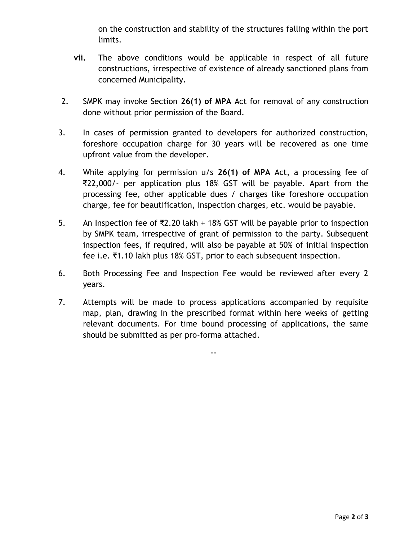on the construction and stability of the structures falling within the port limits.

- **vii.** The above conditions would be applicable in respect of all future constructions, irrespective of existence of already sanctioned plans from concerned Municipality.
- 2. SMPK may invoke Section **26(1) of MPA** Act for removal of any construction done without prior permission of the Board.
- 3. In cases of permission granted to developers for authorized construction, foreshore occupation charge for 30 years will be recovered as one time upfront value from the developer.
- 4. While applying for permission u/s **26(1) of MPA** Act, a processing fee of ₹22,000/- per application plus 18% GST will be payable. Apart from the processing fee, other applicable dues / charges like foreshore occupation charge, fee for beautification, inspection charges, etc. would be payable.
- 5. An Inspection fee of ₹2.20 lakh + 18% GST will be payable prior to inspection by SMPK team, irrespective of grant of permission to the party. Subsequent inspection fees, if required, will also be payable at 50% of initial inspection fee i.e. ₹1.10 lakh plus 18% GST, prior to each subsequent inspection.
- 6. Both Processing Fee and Inspection Fee would be reviewed after every 2 years.
- 7. Attempts will be made to process applications accompanied by requisite map, plan, drawing in the prescribed format within here weeks of getting relevant documents. For time bound processing of applications, the same should be submitted as per pro-forma attached.

--